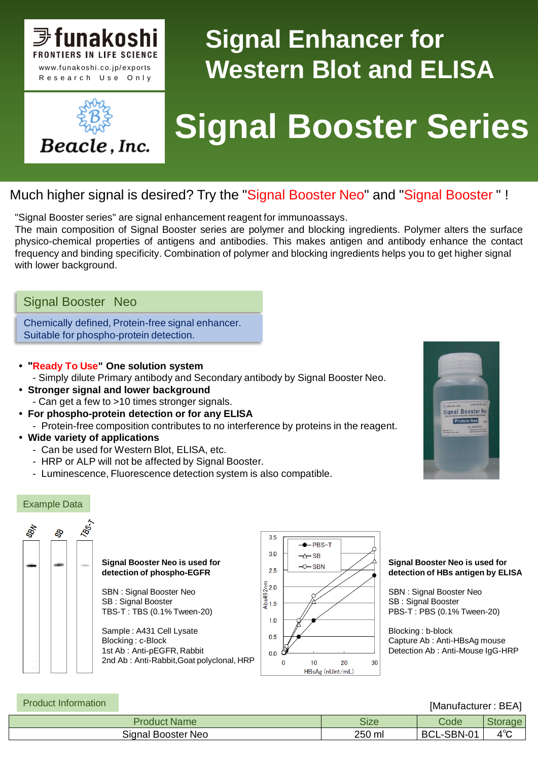

Beacle, Inc.

## **Signal Enhancer for Western Blot and ELISA**

# **Signal Booster Series**

### Much higher signal is desired? Try the "Signal Booster Neo" and "Signal Booster " !

"Signal Booster series" are signal enhancement reagent for immunoassays.

The main composition of Signal Booster series are polymer and blocking ingredients. Polymer alters the surface physico-chemical properties of antigens and antibodies. This makes antigen and antibody enhance the contact frequency and binding specificity. Combination of polymer and blocking ingredients helps you to get higher signal with lower background.

#### Signal Booster Neo

Chemically defined, Protein-free signal enhancer. Suitable for phospho-protein detection.

#### **• "Ready To Use" One solution system**

- Simply dilute Primary antibody and Secondary antibody by Signal Booster Neo.

- **Stronger signal and lower background**
	- Can get a few to >10 times stronger signals.
- **For phospho-protein detection or for any ELISA** - Protein-free composition contributes to no interference by proteins in the reagent.
- **Wide variety of applications**
	- Can be used for Western Blot, ELISA, etc.
	- HRP or ALP will not be affected by Signal Booster.
	- Luminescence, Fluorescence detection system is also compatible.



#### Example Data



**Signal Booster Neo is used for detection of phospho-EGFR**

SBN : Signal Booster Neo SB : Signal Booster TBS-T : TBS (0.1% Tween-20)

Sample : A431 Cell Lysate Blocking : c-Block 1st Ab : Anti-pEGFR, Rabbit 2nd Ab : Anti-Rabbit,Goat polyclonal, HRP



#### **Signal Booster Neo is used for detection of HBs antigen by ELISA**

SBN : Signal Booster Neo SB : Signal Booster PBS-T : PBS (0.1% Tween-20)

Blocking : b-block Capture Ab : Anti-HBsAg mouse Detection Ab : Anti-Mouse IgG-HRP

| <b>Product Information</b> | [Manufacturer: BEA] |             |            |     |  |
|----------------------------|---------------------|-------------|------------|-----|--|
|                            | <b>Product Name</b> | <b>Size</b> | Code       |     |  |
|                            | Signal Booster Neo  | 250 ml      | BCL-SBN-01 | 4°C |  |